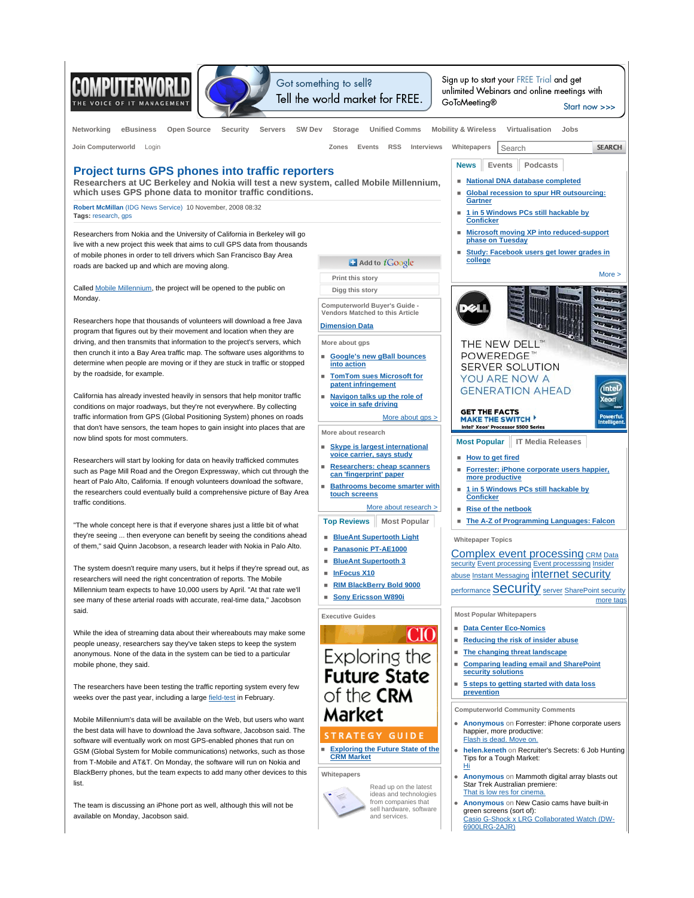